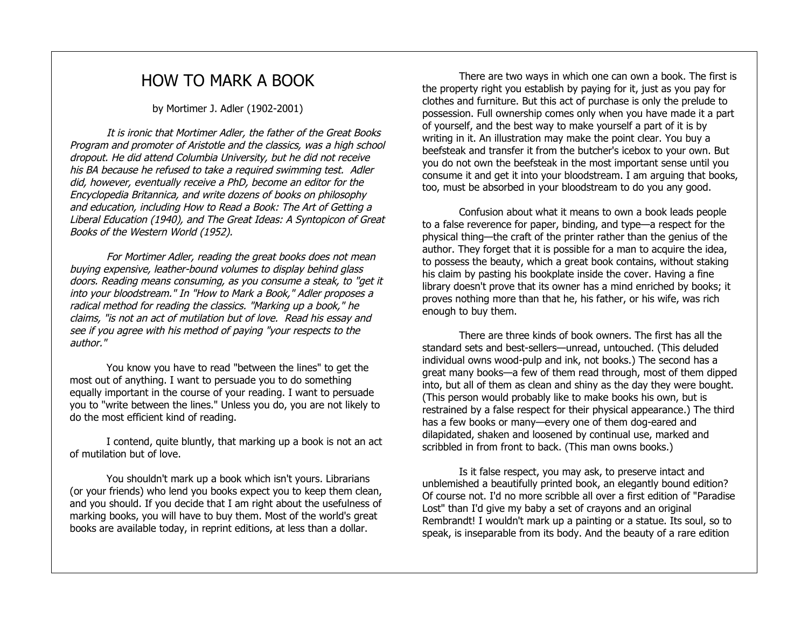## HOW TO MARK A BOOK

## by Mortimer J. Adler (1902-2001)

It is ironic that Mortimer Adler, the father of the Great Books Program and promoter of Aristotle and the classics, was a high school dropout. He did attend Columbia University, but he did not receive his BA because he refused to take a required swimming test. Adler did, however, eventually receive a PhD, become an editor for the Encyclopedia Britannica, and write dozens of books on philosophy and education, including How to Read a Book: The Art of Getting <sup>a</sup> Liberal Education (1940), and The Great Ideas: A Syntopicon of Great Books of the Western World (1952).

For Mortimer Adler, reading the great books does not mean buying expensive, leather-bound volumes to display behind glass doors. Reading means consuming, as you consume a steak, to "get it into your bloodstream." In "How to Mark a Book," Adler proposes <sup>a</sup> radical method for reading the classics. "Marking up a book," he claims, "is not an act of mutilation but of love. Read his essay and see if you agree with his method of paying "your respects to the author."

You know you have to read "between the lines" to get the most out of anything. I want to persuade you to do something equally important in the course of your reading. I want to persuade you to "write between the lines." Unless you do, you are not likely to do the most efficient kind of reading.

I contend, quite bluntly, that marking up a book is not an act of mutilation but of love.

You shouldn't mark up a book which isn't yours. Librarians (or your friends) who lend you books expect you to keep them clean, and you should. If you decide that I am right about the usefulness of marking books, you will have to buy them. Most of the world's great books are available today, in reprint editions, at less than a dollar.

There are two ways in which one can own a book. The first is the property right you establish by paying for it, just as you pay for clothes and furniture. But this act of purchase is only the prelude to possession. Full ownership comes only when you have made it a part of yourself, and the best way to make yourself a part of it is by writing in it. An illustration may make the point clear. You buy a beefsteak and transfer it from the butcher's icebox to your own. But you do not own the beefsteak in the most important sense until you consume it and get it into your bloodstream. I am arguing that books, too, must be absorbed in your bloodstream to do you any good.

Confusion about what it means to own a book leads people to a false reverence for paper, binding, and type—a respect for the physical thing—the craft of the printer rather than the genius of the author. They forget that it is possible for a man to acquire the idea, to possess the beauty, which a great book contains, without staking his claim by pasting his bookplate inside the cover. Having a fine library doesn't prove that its owner has a mind enriched by books; it proves nothing more than that he, his father, or his wife, was rich enough to buy them.

There are three kinds of book owners. The first has all the standard sets and best-sellers—unread, untouched. (This deluded individual owns wood-pulp and ink, not books.) The second has a great many books—a few of them read through, most of them dipped into, but all of them as clean and shiny as the day they were bought. (This person would probably like to make books his own, but is restrained by a false respect for their physical appearance.) The third has a few books or many—every one of them dog-eared and dilapidated, shaken and loosened by continual use, marked and scribbled in from front to back. (This man owns books.)

Is it false respect, you may ask, to preserve intact and unblemished a beautifully printed book, an elegantly bound edition? Of course not. I'd no more scribble all over a first edition of "Paradise Lost" than I'd give my baby a set of crayons and an original Rembrandt! I wouldn't mark up a painting or a statue. Its soul, so to speak, is inseparable from its body. And the beauty of a rare edition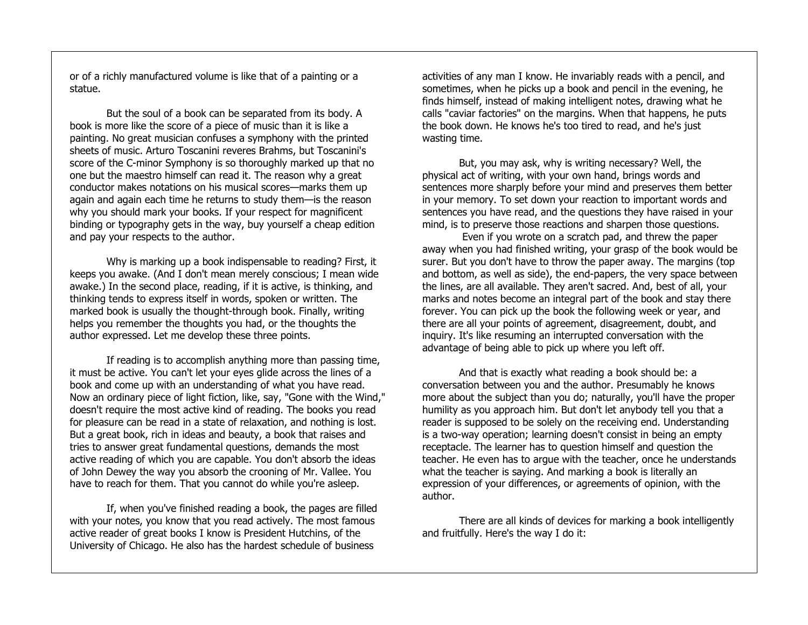or of a richly manufactured volume is like that of a painting or a statue.

But the soul of a book can be separated from its body. A book is more like the score of a piece of music than it is like a painting. No great musician confuses a symphony with the printed sheets of music. Arturo Toscanini reveres Brahms, but Toscanini's score of the C-minor Symphony is so thoroughly marked up that no one but the maestro himself can read it. The reason why a great conductor makes notations on his musical scores—marks them up again and again each time he returns to study them—is the reason why you should mark your books. If your respect for magnificent binding or typography gets in the way, buy yourself a cheap edition and pay your respects to the author.

Why is marking up a book indispensable to reading? First, it keeps you awake. (And I don't mean merely conscious; I mean wide awake.) In the second place, reading, if it is active, is thinking, and thinking tends to express itself in words, spoken or written. The marked book is usually the thought-through book. Finally, writing helps you remember the thoughts you had, or the thoughts the author expressed. Let me develop these three points.

If reading is to accomplish anything more than passing time, it must be active. You can't let your eyes glide across the lines of a book and come up with an understanding of what you have read. Now an ordinary piece of light fiction, like, say, "Gone with the Wind," doesn't require the most active kind of reading. The books you read for pleasure can be read in a state of relaxation, and nothing is lost. But a great book, rich in ideas and beauty, a book that raises and tries to answer great fundamental questions, demands the most active reading of which you are capable. You don't absorb the ideas of John Dewey the way you absorb the crooning of Mr. Vallee. You have to reach for them. That you cannot do while you're asleep.

If, when you've finished reading a book, the pages are filled with your notes, you know that you read actively. The most famous active reader of great books I know is President Hutchins, of the University of Chicago. He also has the hardest schedule of business

activities of any man I know. He invariably reads with a pencil, and sometimes, when he picks up a book and pencil in the evening, he finds himself, instead of making intelligent notes, drawing what he calls "caviar factories" on the margins. When that happens, he puts the book down. He knows he's too tired to read, and he's just wasting time.

But, you may ask, why is writing necessary? Well, the physical act of writing, with your own hand, brings words and sentences more sharply before your mind and preserves them better in your memory. To set down your reaction to important words and sentences you have read, and the questions they have raised in your mind, is to preserve those reactions and sharpen those questions.

Even if you wrote on a scratch pad, and threw the paper away when you had finished writing, your grasp of the book would be surer. But you don't have to throw the paper away. The margins (top and bottom, as well as side), the end-papers, the very space between the lines, are all available. They aren't sacred. And, best of all, your marks and notes become an integral part of the book and stay there forever. You can pick up the book the following week or year, and there are all your points of agreement, disagreement, doubt, and inquiry. It's like resuming an interrupted conversation with the advantage of being able to pick up where you left off.

And that is exactly what reading a book should be: a conversation between you and the author. Presumably he knows more about the subject than you do; naturally, you'll have the proper humility as you approach him. But don't let anybody tell you that a reader is supposed to be solely on the receiving end. Understanding is a two-way operation; learning doesn't consist in being an empty receptacle. The learner has to question himself and question the teacher. He even has to argue with the teacher, once he understands what the teacher is saying. And marking a book is literally an expression of your differences, or agreements of opinion, with the author.

There are all kinds of devices for marking a book intelligently and fruitfully. Here's the way I do it: